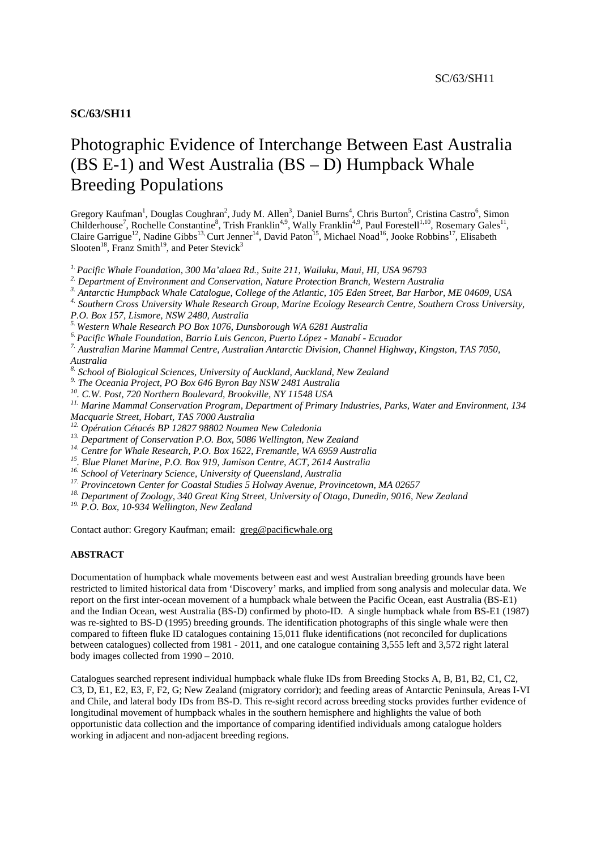# Photographic Evidence of Interchange Between East Australia (BS E-1) and West Australia (BS – D) Humpback Whale Breeding Populations

Gregory Kaufman<sup>1</sup>, Douglas Coughran<sup>2</sup>, Judy M. Allen<sup>3</sup>, Daniel Burns<sup>4</sup>, Chris Burton<sup>5</sup>, Cristina Castro<sup>6</sup>, Simon Childerhouse<sup>7</sup>, Rochelle Constantine<sup>8</sup>, Trish Franklin<sup>4,9</sup>, Wally Franklin<sup>4,9</sup>, Paul Forestell<sup>1,10</sup>, Rosemary Gales<sup>11</sup>, Claire Garrigue<sup>12</sup>, Nadine Gibbs<sup>13,</sup> Curt Jenner<sup>14</sup>, David Paton<sup>15</sup>, Michael Noad<sup>16</sup>, Jooke Robbins<sup>17</sup>, Elisabeth Slooten<sup>18</sup>, Franz Smith<sup>19</sup>, and Peter Stevick<sup>3</sup>

*1. Pacific Whale Foundation, 300 Ma'alaea Rd., Suite 211, Wailuku, Maui, HI, USA 96793* 

*2. Department of Environment and Conservation, Nature Protection Branch, Western Australia* 

<sup>4</sup> Southern Cross University Whale Research Group, Marine Ecology Research Centre, Southern Cross University,

*P.O. Box 157, Lismore, NSW 2480, Australia*

*5. Western Whale Research PO Box 1076, Dunsborough WA 6281 Australia*

*6. Pacific Whale Foundation, Barrio Luis Gencon, Puerto López - Manabí - Ecuador* 

*7. Australian Marine Mammal Centre, Australian Antarctic Division, Channel Highway, Kingston, TAS 7050, Australia* 

*8. School of Biological Sciences, University of Auckland, Auckland, New Zealand* 

*9. The Oceania Project, PO Box 646 Byron Bay NSW 2481 Australia* 

*10. C.W. Post, 720 Northern Boulevard, Brookville, NY 11548 USA* 

*11. Marine Mammal Conservation Program, Department of Primary Industries, Parks, Water and Environment, 134 Macquarie Street, Hobart, TAS 7000 Australia* 

<sup>13</sup>. Department of Conservation P.O. Box, 5086 Wellington, New Zealand<br><sup>14</sup>. Centre for Whale Research, P.O. Box 1622, Fremantle, WA 6959 Australia<br><sup>15</sup>. Blue Planet Marine, P.O. Box 919, Jamison Centre, ACT, 2614 Austra

<sup>17.</sup> Provincetown Center for Coastal Studies 5 Holway Avenue, Provincetown, MA 02657<br><sup>18.</sup> Department of Zoology, 340 Great King Street, University of Otago, Dunedin, 9016, New Zealand<br><sup>19.</sup> P.O. Box. 10-934 Wellington,

Contact author: Gregory Kaufman; email: greg@pacificwhale.org

#### **ABSTRACT**

Documentation of humpback whale movements between east and west Australian breeding grounds have been restricted to limited historical data from 'Discovery' marks, and implied from song analysis and molecular data. We report on the first inter-ocean movement of a humpback whale between the Pacific Ocean, east Australia (BS-E1) and the Indian Ocean, west Australia (BS-D) confirmed by photo-ID. A single humpback whale from BS-E1 (1987) was re-sighted to BS-D (1995) breeding grounds. The identification photographs of this single whale were then compared to fifteen fluke ID catalogues containing 15,011 fluke identifications (not reconciled for duplications between catalogues) collected from 1981 - 2011, and one catalogue containing 3,555 left and 3,572 right lateral body images collected from 1990 – 2010.

Catalogues searched represent individual humpback whale fluke IDs from Breeding Stocks A, B, B1, B2, C1, C2, C3, D, E1, E2, E3, F, F2, G; New Zealand (migratory corridor); and feeding areas of Antarctic Peninsula, Areas I-VI and Chile, and lateral body IDs from BS-D. This re-sight record across breeding stocks provides further evidence of longitudinal movement of humpback whales in the southern hemisphere and highlights the value of both opportunistic data collection and the importance of comparing identified individuals among catalogue holders working in adjacent and non-adjacent breeding regions.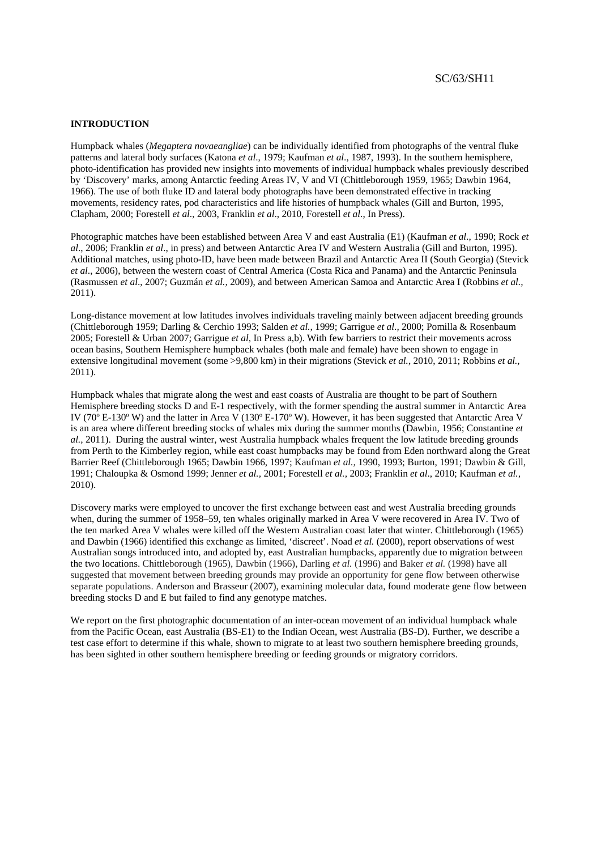#### **INTRODUCTION**

Humpback whales (*Megaptera novaeangliae*) can be individually identified from photographs of the ventral fluke patterns and lateral body surfaces (Katona *et al*., 1979; Kaufman *et al*., 1987, 1993). In the southern hemisphere, photo-identification has provided new insights into movements of individual humpback whales previously described by 'Discovery' marks, among Antarctic feeding Areas IV, V and VI (Chittleborough 1959, 1965; Dawbin 1964, 1966). The use of both fluke ID and lateral body photographs have been demonstrated effective in tracking movements, residency rates, pod characteristics and life histories of humpback whales (Gill and Burton, 1995, Clapham, 2000; Forestell *et al*., 2003, Franklin *et al*., 2010, Forestell *et al*., In Press).

Photographic matches have been established between Area V and east Australia (E1) (Kaufman *et al*., 1990; Rock *et al*., 2006; Franklin *et al*., in press) and between Antarctic Area IV and Western Australia (Gill and Burton, 1995). Additional matches, using photo-ID, have been made between Brazil and Antarctic Area II (South Georgia) (Stevick *et al*., 2006), between the western coast of Central America (Costa Rica and Panama) and the Antarctic Peninsula (Rasmussen *et al*., 2007; Guzmán *et al.,* 2009), and between American Samoa and Antarctic Area I (Robbins *et al.,* 2011).

Long-distance movement at low latitudes involves individuals traveling mainly between adjacent breeding grounds (Chittleborough 1959; Darling & Cerchio 1993; Salden *et al.,* 1999; Garrigue *et al.,* 2000; Pomilla & Rosenbaum 2005; Forestell & Urban 2007; Garrigue *et al*, In Press a,b). With few barriers to restrict their movements across ocean basins, Southern Hemisphere humpback whales (both male and female) have been shown to engage in extensive longitudinal movement (some >9,800 km) in their migrations (Stevick *et al.,* 2010, 2011; Robbins *et al.,* 2011).

Humpback whales that migrate along the west and east coasts of Australia are thought to be part of Southern Hemisphere breeding stocks D and E-1 respectively, with the former spending the austral summer in Antarctic Area IV (70º E-130º W) and the latter in Area V (130º E-170º W). However, it has been suggested that Antarctic Area V is an area where different breeding stocks of whales mix during the summer months (Dawbin, 1956; Constantine *et al.,* 2011). During the austral winter, west Australia humpback whales frequent the low latitude breeding grounds from Perth to the Kimberley region, while east coast humpbacks may be found from Eden northward along the Great Barrier Reef (Chittleborough 1965; Dawbin 1966, 1997; Kaufman *et al.,* 1990, 1993; Burton, 1991; Dawbin & Gill, 1991; Chaloupka & Osmond 1999; Jenner *et al.,* 2001; Forestell *et al.,* 2003; Franklin *et al*., 2010; Kaufman *et al.,* 2010).

Discovery marks were employed to uncover the first exchange between east and west Australia breeding grounds when, during the summer of 1958–59, ten whales originally marked in Area V were recovered in Area IV. Two of the ten marked Area V whales were killed off the Western Australian coast later that winter. Chittleborough (1965) and Dawbin (1966) identified this exchange as limited, 'discreet'. Noad *et al.* (2000), report observations of west Australian songs introduced into, and adopted by, east Australian humpbacks, apparently due to migration between the two locations. Chittleborough (1965), Dawbin (1966), Darling *et al.* (1996) and Baker *et al.* (1998) have all suggested that movement between breeding grounds may provide an opportunity for gene flow between otherwise separate populations. Anderson and Brasseur (2007), examining molecular data, found moderate gene flow between breeding stocks D and E but failed to find any genotype matches.

We report on the first photographic documentation of an inter-ocean movement of an individual humpback whale from the Pacific Ocean, east Australia (BS-E1) to the Indian Ocean, west Australia (BS-D). Further, we describe a test case effort to determine if this whale, shown to migrate to at least two southern hemisphere breeding grounds, has been sighted in other southern hemisphere breeding or feeding grounds or migratory corridors.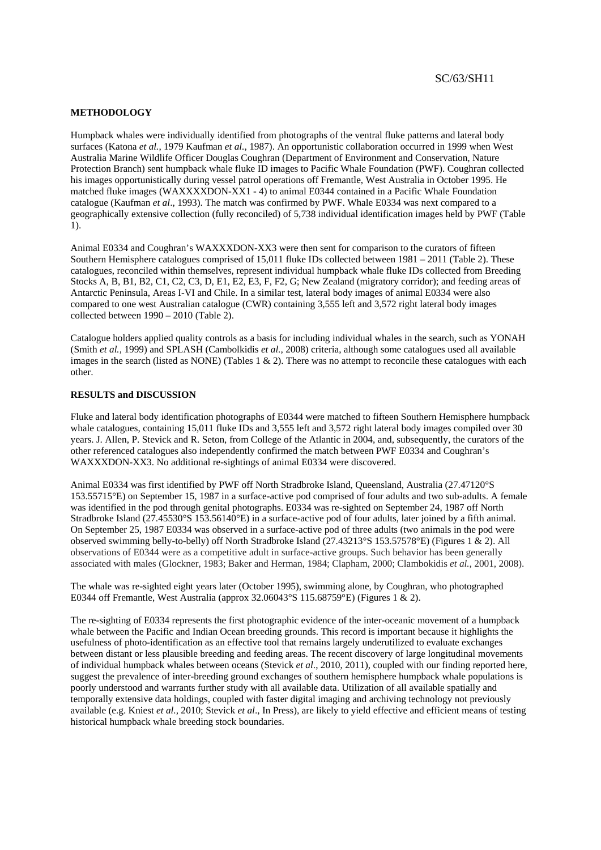## **METHODOLOGY**

Humpback whales were individually identified from photographs of the ventral fluke patterns and lateral body surfaces (Katona *et al.*, 1979 Kaufman *et al.*, 1987). An opportunistic collaboration occurred in 1999 when West Australia Marine Wildlife Officer Douglas Coughran (Department of Environment and Conservation, Nature Protection Branch) sent humpback whale fluke ID images to Pacific Whale Foundation (PWF). Coughran collected his images opportunistically during vessel patrol operations off Fremantle, West Australia in October 1995. He matched fluke images (WAXXXXDON-XX1 - 4) to animal E0344 contained in a Pacific Whale Foundation catalogue (Kaufman *et al*., 1993). The match was confirmed by PWF. Whale E0334 was next compared to a geographically extensive collection (fully reconciled) of 5,738 individual identification images held by PWF (Table 1).

Animal E0334 and Coughran's WAXXXDON-XX3 were then sent for comparison to the curators of fifteen Southern Hemisphere catalogues comprised of 15,011 fluke IDs collected between 1981 – 2011 (Table 2). These catalogues, reconciled within themselves, represent individual humpback whale fluke IDs collected from Breeding Stocks A, B, B1, B2, C1, C2, C3, D, E1, E2, E3, F, F2, G; New Zealand (migratory corridor); and feeding areas of Antarctic Peninsula, Areas I-VI and Chile. In a similar test, lateral body images of animal E0334 were also compared to one west Australian catalogue (CWR) containing 3,555 left and 3,572 right lateral body images collected between 1990 – 2010 (Table 2).

Catalogue holders applied quality controls as a basis for including individual whales in the search, such as YONAH (Smith *et al.,* 1999) and SPLASH (Cambolkidis *et al.,* 2008) criteria, although some catalogues used all available images in the search (listed as NONE) (Tables 1  $\&$  2). There was no attempt to reconcile these catalogues with each other.

## **RESULTS and DISCUSSION**

Fluke and lateral body identification photographs of E0344 were matched to fifteen Southern Hemisphere humpback whale catalogues, containing 15,011 fluke IDs and 3,555 left and 3,572 right lateral body images compiled over 30 years. J. Allen, P. Stevick and R. Seton, from College of the Atlantic in 2004, and, subsequently, the curators of the other referenced catalogues also independently confirmed the match between PWF E0334 and Coughran's WAXXXDON-XX3. No additional re-sightings of animal E0334 were discovered.

Animal E0334 was first identified by PWF off North Stradbroke Island, Queensland, Australia (27.47120°S 153.55715°E) on September 15, 1987 in a surface-active pod comprised of four adults and two sub-adults. A female was identified in the pod through genital photographs. E0334 was re-sighted on September 24, 1987 off North Stradbroke Island (27.45530°S 153.56140°E) in a surface-active pod of four adults, later joined by a fifth animal. On September 25, 1987 E0334 was observed in a surface-active pod of three adults (two animals in the pod were observed swimming belly-to-belly) off North Stradbroke Island (27.43213°S 153.57578°E) (Figures 1 & 2). All observations of E0344 were as a competitive adult in surface-active groups. Such behavior has been generally associated with males (Glockner, 1983; Baker and Herman, 1984; Clapham, 2000; Clambokidis *et al.*, 2001, 2008).

The whale was re-sighted eight years later (October 1995), swimming alone, by Coughran, who photographed E0344 off Fremantle, West Australia (approx 32.06043°S 115.68759°E) (Figures 1 & 2).

The re-sighting of E0334 represents the first photographic evidence of the inter-oceanic movement of a humpback whale between the Pacific and Indian Ocean breeding grounds. This record is important because it highlights the usefulness of photo-identification as an effective tool that remains largely underutilized to evaluate exchanges between distant or less plausible breeding and feeding areas. The recent discovery of large longitudinal movements of individual humpback whales between oceans (Stevick *et al*., 2010, 2011), coupled with our finding reported here, suggest the prevalence of inter-breeding ground exchanges of southern hemisphere humpback whale populations is poorly understood and warrants further study with all available data. Utilization of all available spatially and temporally extensive data holdings, coupled with faster digital imaging and archiving technology not previously available (e.g. Kniest *et al.,* 2010; Stevick *et al*., In Press), are likely to yield effective and efficient means of testing historical humpback whale breeding stock boundaries.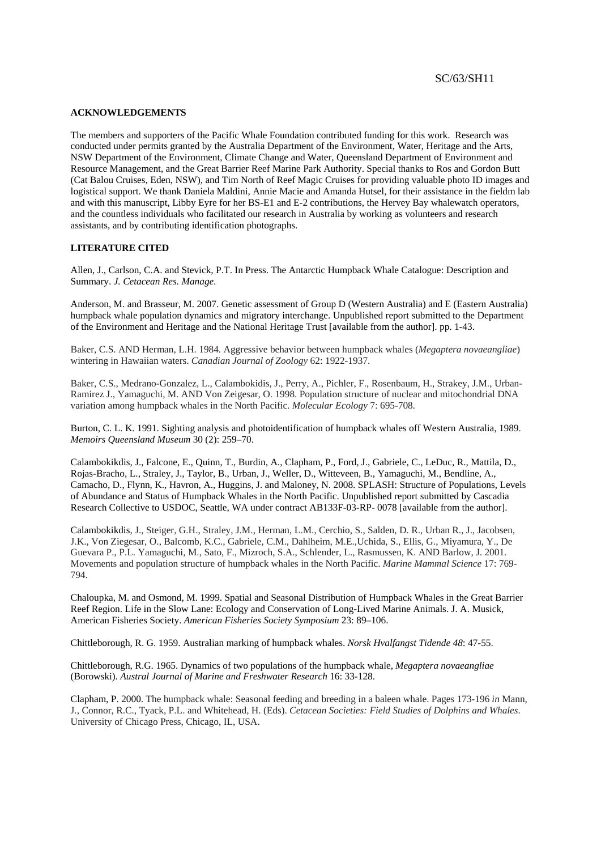#### **ACKNOWLEDGEMENTS**

The members and supporters of the Pacific Whale Foundation contributed funding for this work. Research was conducted under permits granted by the Australia Department of the Environment, Water, Heritage and the Arts, NSW Department of the Environment, Climate Change and Water, Queensland Department of Environment and Resource Management, and the Great Barrier Reef Marine Park Authority. Special thanks to Ros and Gordon Butt (Cat Balou Cruises, Eden, NSW), and Tim North of Reef Magic Cruises for providing valuable photo ID images and logistical support. We thank Daniela Maldini, Annie Macie and Amanda Hutsel, for their assistance in the fieldm lab and with this manuscript, Libby Eyre for her BS-E1 and E-2 contributions, the Hervey Bay whalewatch operators, and the countless individuals who facilitated our research in Australia by working as volunteers and research assistants, and by contributing identification photographs.

# **LITERATURE CITED**

Allen, J., Carlson, C.A. and Stevick, P.T. In Press. The Antarctic Humpback Whale Catalogue: Description and Summary. *J. Cetacean Res. Manage*.

Anderson, M. and Brasseur, M. 2007. Genetic assessment of Group D (Western Australia) and E (Eastern Australia) humpback whale population dynamics and migratory interchange. Unpublished report submitted to the Department of the Environment and Heritage and the National Heritage Trust [available from the author]. pp. 1-43.

Baker, C.S. AND Herman, L.H. 1984. Aggressive behavior between humpback whales (*Megaptera novaeangliae*) wintering in Hawaiian waters. *Canadian Journal of Zoology* 62: 1922-1937.

Baker, C.S., Medrano-Gonzalez, L., Calambokidis, J., Perry, A., Pichler, F., Rosenbaum, H., Strakey, J.M., Urban-Ramirez J., Yamaguchi, M. AND Von Zeigesar, O. 1998. Population structure of nuclear and mitochondrial DNA variation among humpback whales in the North Pacific. *Molecular Ecology* 7: 695-708.

Burton, C. L. K. 1991. Sighting analysis and photoidentification of humpback whales off Western Australia, 1989. *Memoirs Queensland Museum* 30 (2): 259–70.

Calambokikdis, J., Falcone, E., Quinn, T., Burdin, A., Clapham, P., Ford, J., Gabriele, C., LeDuc, R., Mattila, D., Rojas-Bracho, L., Straley, J., Taylor, B., Urban, J., Weller, D., Witteveen, B., Yamaguchi, M., Bendline, A., Camacho, D., Flynn, K., Havron, A., Huggins, J. and Maloney, N. 2008. SPLASH: Structure of Populations, Levels of Abundance and Status of Humpback Whales in the North Pacific. Unpublished report submitted by Cascadia Research Collective to USDOC, Seattle, WA under contract AB133F-03-RP- 0078 [available from the author].

Calambokikdis, J., Steiger, G.H., Straley, J.M., Herman, L.M., Cerchio, S., Salden, D. R., Urban R., J., Jacobsen, J.K., Von Ziegesar, O., Balcomb, K.C., Gabriele, C.M., Dahlheim, M.E.,Uchida, S., Ellis, G., Miyamura, Y., De Guevara P., P.L. Yamaguchi, M., Sato, F., Mizroch, S.A., Schlender, L., Rasmussen, K. AND Barlow, J. 2001. Movements and population structure of humpback whales in the North Pacific. *Marine Mammal Science* 17: 769- 794.

Chaloupka, M. and Osmond, M. 1999. Spatial and Seasonal Distribution of Humpback Whales in the Great Barrier Reef Region. Life in the Slow Lane: Ecology and Conservation of Long-Lived Marine Animals. J. A. Musick, American Fisheries Society. *American Fisheries Society Symposium* 23: 89–106.

Chittleborough, R. G. 1959. Australian marking of humpback whales. *Norsk Hvalfangst Tidende 48*: 47-55.

Chittleborough, R.G. 1965. Dynamics of two populations of the humpback whale, *Megaptera novaeangliae* (Borowski). *Austral Journal of Marine and Freshwater Research* 16: 33-128.

Clapham, P. 2000. The humpback whale: Seasonal feeding and breeding in a baleen whale. Pages 173-196 *in* Mann, J., Connor, R.C., Tyack, P.L. and Whitehead, H. (Eds). *Cetacean Societies: Field Studies of Dolphins and Whales*. University of Chicago Press, Chicago, IL, USA.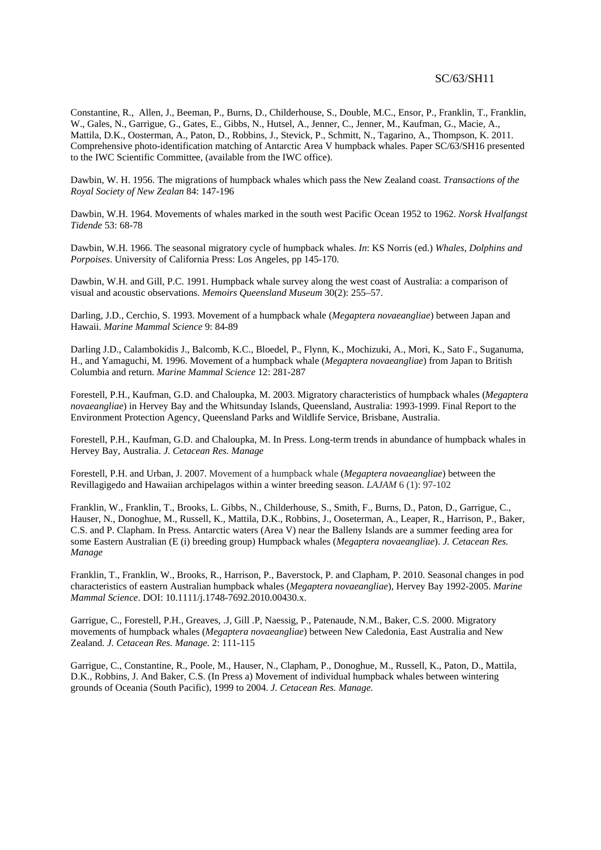Constantine, R., Allen, J., Beeman, P., Burns, D., Childerhouse, S., Double, M.C., Ensor, P., Franklin, T., Franklin, W., Gales, N., Garrigue, G., Gates, E., Gibbs, N., Hutsel, A., Jenner, C., Jenner, M., Kaufman, G., Macie, A., Mattila, D.K., Oosterman, A., Paton, D., Robbins, J., Stevick, P., Schmitt, N., Tagarino, A., Thompson, K. 2011. Comprehensive photo-identification matching of Antarctic Area V humpback whales. Paper SC/63/SH16 presented to the IWC Scientific Committee, (available from the IWC office).

Dawbin, W. H. 1956. The migrations of humpback whales which pass the New Zealand coast. *Transactions of the Royal Society of New Zealan* 84: 147-196

Dawbin, W.H. 1964. Movements of whales marked in the south west Pacific Ocean 1952 to 1962. *Norsk Hvalfangst Tidende* 53: 68-78

Dawbin, W.H. 1966. The seasonal migratory cycle of humpback whales. *In*: KS Norris (ed.) *Whales, Dolphins and Porpoises*. University of California Press: Los Angeles, pp 145-170.

Dawbin, W.H. and Gill, P.C. 1991. Humpback whale survey along the west coast of Australia: a comparison of visual and acoustic observations. *Memoirs Queensland Museum* 30(2): 255–57.

Darling, J.D., Cerchio, S. 1993. Movement of a humpback whale (*Megaptera novaeangliae*) between Japan and Hawaii. *Marine Mammal Science* 9: 84-89

Darling J.D., Calambokidis J., Balcomb, K.C., Bloedel, P., Flynn, K., Mochizuki, A., Mori, K., Sato F., Suganuma, H., and Yamaguchi, M. 1996. Movement of a humpback whale (*Megaptera novaeangliae*) from Japan to British Columbia and return. *Marine Mammal Science* 12: 281-287

Forestell, P.H., Kaufman, G.D. and Chaloupka, M. 2003. Migratory characteristics of humpback whales (*Megaptera novaeangliae*) in Hervey Bay and the Whitsunday Islands, Queensland, Australia: 1993-1999. Final Report to the Environment Protection Agency, Queensland Parks and Wildlife Service, Brisbane, Australia.

Forestell, P.H., Kaufman, G.D. and Chaloupka, M. In Press. Long-term trends in abundance of humpback whales in Hervey Bay, Australia. *J. Cetacean Res. Manage*

Forestell, P.H. and Urban, J. 2007. Movement of a humpback whale (*Megaptera novaeangliae*) between the Revillagigedo and Hawaiian archipelagos within a winter breeding season. *LAJAM* 6 (1): 97-102

Franklin, W., Franklin, T., Brooks, L. Gibbs, N., Childerhouse, S., Smith, F., Burns, D., Paton, D., Garrigue, C., Hauser, N., Donoghue, M., Russell, K., Mattila, D.K., Robbins, J., Ooseterman, A., Leaper, R., Harrison, P., Baker, C.S. and P. Clapham. In Press. Antarctic waters (Area V) near the Balleny Islands are a summer feeding area for some Eastern Australian (E (i) breeding group) Humpback whales (*Megaptera novaeangliae*). *J. Cetacean Res. Manage* 

Franklin, T., Franklin, W., Brooks, R., Harrison, P., Baverstock, P. and Clapham, P. 2010. Seasonal changes in pod characteristics of eastern Australian humpback whales (*Megaptera novaeangliae*), Hervey Bay 1992-2005. *Marine Mammal Science*. DOI: 10.1111/j.1748-7692.2010.00430.x.

Garrigue, C., Forestell, P.H., Greaves, .J, Gill .P, Naessig, P., Patenaude, N.M., Baker, C.S. 2000. Migratory movements of humpback whales (*Megaptera novaeangliae*) between New Caledonia, East Australia and New Zealand. *J. Cetacean Res. Manage.* 2: 111-115

Garrigue, C., Constantine, R., Poole, M., Hauser, N., Clapham, P., Donoghue, M., Russell, K., Paton, D., Mattila, D.K., Robbins, J. And Baker, C.S. (In Press a) Movement of individual humpback whales between wintering grounds of Oceania (South Pacific), 1999 to 2004. *J. Cetacean Res. Manage.*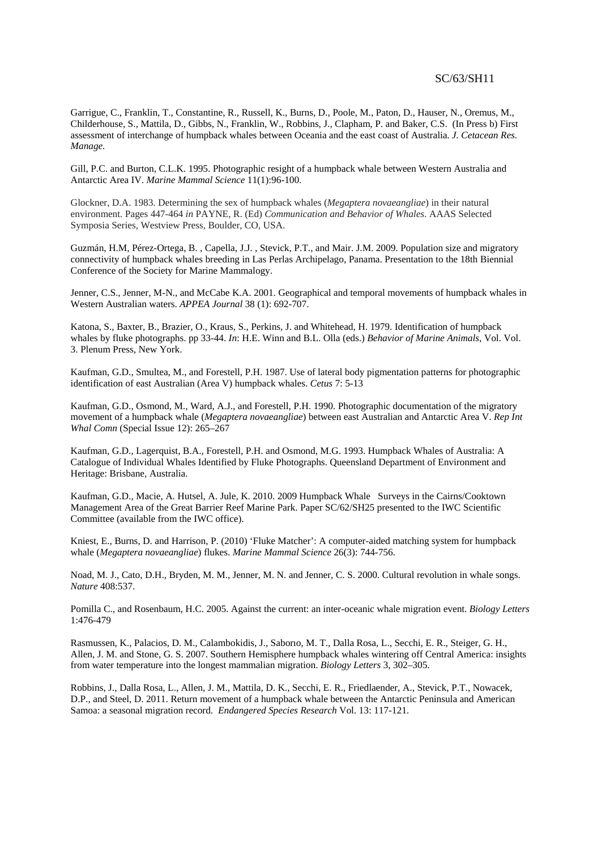Garrigue, C., Franklin, T., Constantine, R., Russell, K., Burns, D., Poole, M., Paton, D., Hauser, N., Oremus, M., Childerhouse, S., Mattila, D., Gibbs, N., Franklin, W., Robbins, J., Clapham, P. and Baker, C.S. (In Press b) First assessment of interchange of humpback whales between Oceania and the east coast of Australia. *J. Cetacean Res. Manage.* 

Gill, P.C. and Burton, C.L.K. 1995. Photographic resight of a humpback whale between Western Australia and Antarctic Area IV. *Marine Mammal Science* 11(1):96-100.

Glockner, D.A. 1983. Determining the sex of humpback whales (*Megaptera novaeangliae*) in their natural environment. Pages 447-464 *in* PAYNE, R. (Ed) *Communication and Behavior of Whales*. AAAS Selected Symposia Series, Westview Press, Boulder, CO, USA.

Guzmán, H.M, Pérez-Ortega, B. , Capella, J.J. , Stevick, P.T., and Mair. J.M. 2009. Population size and migratory connectivity of humpback whales breeding in Las Perlas Archipelago, Panama. Presentation to the 18th Biennial Conference of the Society for Marine Mammalogy.

Jenner, C.S., Jenner, M-N., and McCabe K.A. 2001. Geographical and temporal movements of humpback whales in Western Australian waters. *APPEA Journal* 38 (1): 692-707.

Katona, S., Baxter, B., Brazier, O., Kraus, S., Perkins, J. and Whitehead, H. 1979. Identification of humpback whales by fluke photographs. pp 33-44. *In*: H.E. Winn and B.L. Olla (eds.) *Behavior of Marine Animals*, Vol. Vol. 3. Plenum Press, New York.

Kaufman, G.D., Smultea, M., and Forestell, P.H. 1987. Use of lateral body pigmentation patterns for photographic identification of east Australian (Area V) humpback whales. *Cetus* 7: 5-13

Kaufman, G.D., Osmond, M., Ward, A.J., and Forestell, P.H. 1990. Photographic documentation of the migratory movement of a humpback whale (*Megaptera novaeangliae*) between east Australian and Antarctic Area V. *Rep Int Whal Comn* (Special Issue 12): 265–267

Kaufman, G.D., Lagerquist, B.A., Forestell, P.H. and Osmond, M.G. 1993. Humpback Whales of Australia: A Catalogue of Individual Whales Identified by Fluke Photographs. Queensland Department of Environment and Heritage: Brisbane, Australia.

Kaufman, G.D., Macie, A. Hutsel, A. Jule, K. 2010. 2009 Humpback Whale Surveys in the Cairns/Cooktown Management Area of the Great Barrier Reef Marine Park. Paper SC/62/SH25 presented to the IWC Scientific Committee (available from the IWC office).

Kniest, E., Burns, D. and Harrison, P. (2010) 'Fluke Matcher': A computer-aided matching system for humpback whale (*Megaptera novaeangliae*) flukes. *Marine Mammal Science* 26(3): 744-756.

Noad, M. J., Cato, D.H., Bryden, M. M., Jenner, M. N. and Jenner, C. S. 2000. Cultural revolution in whale songs. *Nature* 408:537.

Pomilla C., and Rosenbaum, H.C. 2005. Against the current: an inter-oceanic whale migration event. *Biology Letters* 1:476-479

Rasmussen, K., Palacios, D. M., Calambokidis, J., Saborıo, M. T., Dalla Rosa, L., Secchi, E. R., Steiger, G. H., Allen, J. M. and Stone, G. S. 2007. Southern Hemisphere humpback whales wintering off Central America: insights from water temperature into the longest mammalian migration. *Biology Letters* 3, 302–305.

Robbins, J., Dalla Rosa, L., Allen, J. M., Mattila, D. K., Secchi, E. R., Friedlaender, A., Stevick, P.T., Nowacek, D.P., and Steel, D. 2011. Return movement of a humpback whale between the Antarctic Peninsula and American Samoa: a seasonal migration record. *Endangered Species Research* Vol. 13: 117-121.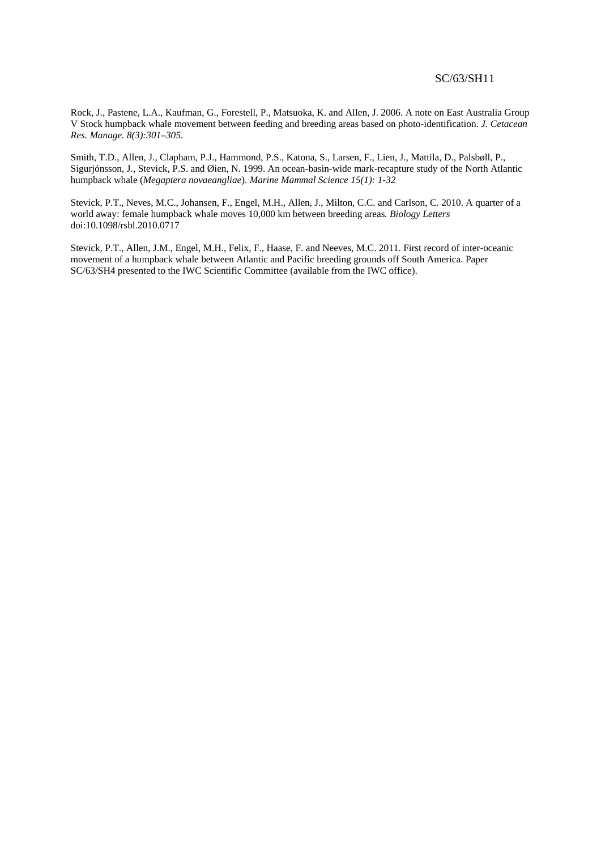Rock, J., Pastene, L.A., Kaufman, G., Forestell, P., Matsuoka, K. and Allen, J. 2006. A note on East Australia Group V Stock humpback whale movement between feeding and breeding areas based on photo-identification. *J. Cetacean Res. Manage. 8(3):301–305.*

Smith, T.D., Allen, J., Clapham, P.J., Hammond, P.S., Katona, S., Larsen, F., Lien, J., Mattila, D., Palsbøll, P., Sigurjónsson, J., Stevick, P.S. and Øien, N. 1999. An ocean-basin-wide mark-recapture study of the North Atlantic humpback whale (*Megaptera novaeangliae*). *Marine Mammal Science 15(1): 1-32*

Stevick, P.T., Neves, M.C., Johansen, F., Engel, M.H., Allen, J., Milton, C.C. and Carlson, C. 2010. A quarter of a world away: female humpback whale moves 10,000 km between breeding areas*. Biology Letters* doi:10.1098/rsbl.2010.0717

Stevick, P.T., Allen, J.M., Engel, M.H., Felix, F., Haase, F. and Neeves, M.C. 2011. First record of inter-oceanic movement of a humpback whale between Atlantic and Pacific breeding grounds off South America. Paper SC/63/SH4 presented to the IWC Scientific Committee (available from the IWC office).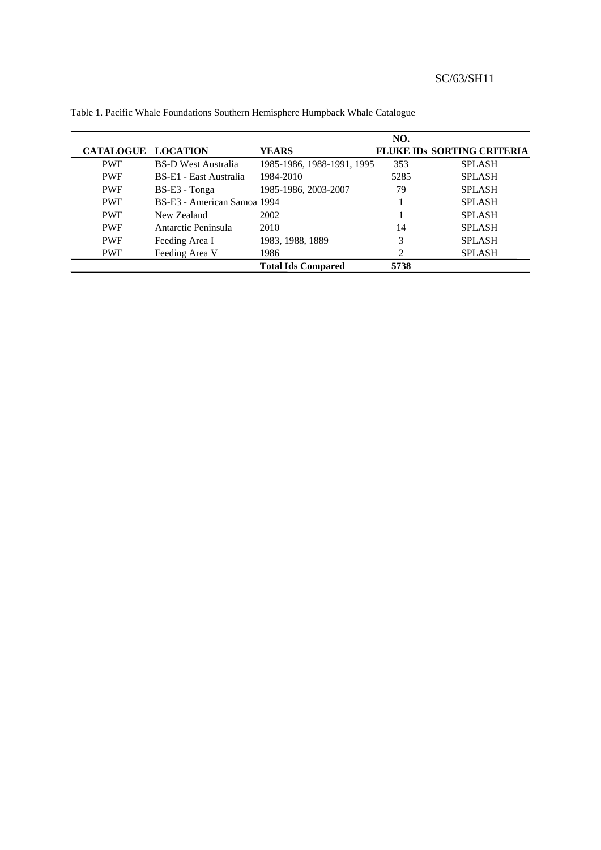|                  |                             |                            | NO.                         |                                   |
|------------------|-----------------------------|----------------------------|-----------------------------|-----------------------------------|
| <b>CATALOGUE</b> | <b>LOCATION</b>             | YEARS                      |                             | <b>FLUKE IDS SORTING CRITERIA</b> |
| <b>PWF</b>       | <b>BS-D West Australia</b>  | 1985-1986, 1988-1991, 1995 | 353                         | <b>SPLASH</b>                     |
| <b>PWF</b>       | BS-E1 - East Australia      | 1984-2010                  | 5285                        | <b>SPLASH</b>                     |
| <b>PWF</b>       | $BS-E3$ - Tonga             | 1985-1986, 2003-2007       | 79                          | <b>SPLASH</b>                     |
| <b>PWF</b>       | BS-E3 - American Samoa 1994 |                            |                             | <b>SPLASH</b>                     |
| <b>PWF</b>       | New Zealand                 | 2002                       |                             | <b>SPLASH</b>                     |
| <b>PWF</b>       | Antarctic Peninsula         | 2010                       | 14                          | <b>SPLASH</b>                     |
| <b>PWF</b>       | Feeding Area I              | 1983, 1988, 1889           | 3                           | <b>SPLASH</b>                     |
| <b>PWF</b>       | Feeding Area V              | 1986                       | $\mathcal{D}_{\mathcal{L}}$ | <b>SPLASH</b>                     |
|                  |                             | <b>Total Ids Compared</b>  | 5738                        |                                   |

Table 1. Pacific Whale Foundations Southern Hemisphere Humpback Whale Catalogue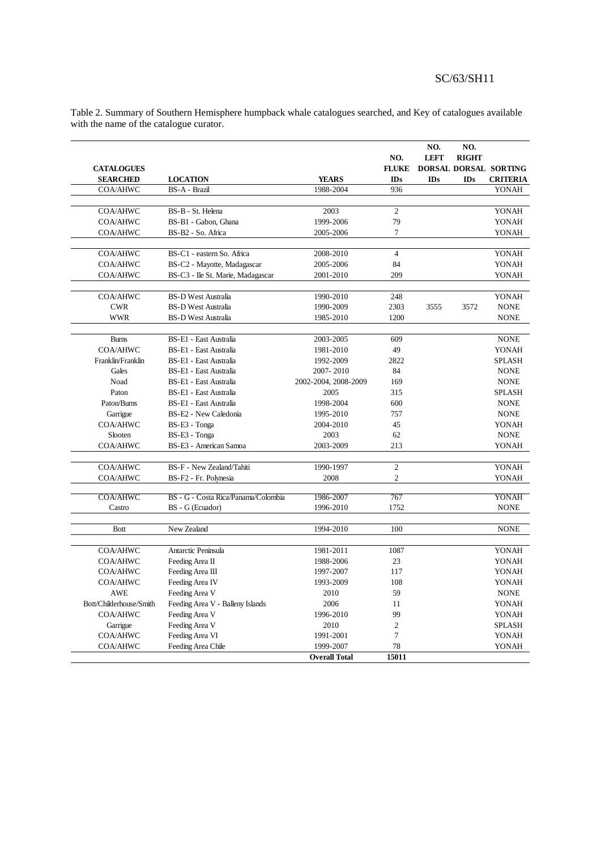|                         |                                     |                      | NO.            | NO.<br><b>LEFT</b> | NO.<br><b>RIGHT</b> |                       |
|-------------------------|-------------------------------------|----------------------|----------------|--------------------|---------------------|-----------------------|
| <b>CATALOGUES</b>       |                                     |                      | <b>FLUKE</b>   |                    |                     | DORSAL DORSAL SORTING |
| <b>SEARCHED</b>         | <b>LOCATION</b>                     | <b>YEARS</b>         | IDs            | IDs                | IDs                 | <b>CRITERIA</b>       |
| <b>COA/AHWC</b>         | BS-A - Brazil                       | 1988-2004            | 936            |                    |                     | YONAH                 |
|                         |                                     |                      |                |                    |                     |                       |
| COA/AHWC                | BS-B - St. Helena                   | 2003                 | $\overline{c}$ |                    |                     | YONAH                 |
| COA/AHWC                | BS-B1 - Gabon, Ghana                | 1999-2006            | 79             |                    |                     | YONAH                 |
| <b>COA/AHWC</b>         | BS-B2 - So. Africa                  | 2005-2006            | $\overline{7}$ |                    |                     | YONAH                 |
|                         |                                     |                      |                |                    |                     |                       |
| COA/AHWC                | BS-C1 - eastern So. Africa          | 2008-2010            | $\overline{4}$ |                    |                     | YONAH                 |
| <b>COA/AHWC</b>         | BS-C2 - Mayotte, Madagascar         | 2005-2006            | 84             |                    |                     | YONAH                 |
| <b>COA/AHWC</b>         | BS-C3 - Ile St. Marie, Madagascar   | 2001-2010            | 209            |                    |                     | YONAH                 |
|                         |                                     |                      |                |                    |                     |                       |
| COA/AHWC                | <b>BS-D West Australia</b>          | 1990-2010            | 248            |                    |                     | YONAH                 |
| <b>CWR</b>              | <b>BS-D West Australia</b>          | 1990-2009            | 2303           | 3555               | 3572                | <b>NONE</b>           |
| <b>WWR</b>              | <b>BS-D West Australia</b>          | 1985-2010            | 1200           |                    |                     | <b>NONE</b>           |
|                         |                                     |                      |                |                    |                     |                       |
| <b>Burns</b>            | BS-E1 - East Australia              | 2003-2005            | 609            |                    |                     | <b>NONE</b>           |
| <b>COA/AHWC</b>         | BS-E1 - East Australia              | 1981-2010            | 49             |                    |                     | YONAH                 |
| Franklin/Franklin       | BS-E1 - East Australia              | 1992-2009            | 2822           |                    |                     | <b>SPLASH</b>         |
| Gales                   | BS-E1 - East Australia              | 2007-2010            | 84             |                    |                     | <b>NONE</b>           |
| Noad                    | BS-E1 - East Australia              | 2002-2004, 2008-2009 | 169            |                    |                     | <b>NONE</b>           |
| Paton                   | BS-E1 - East Australia              | 2005                 | 315            |                    |                     | <b>SPLASH</b>         |
| Paton/Burns             | BS-E1 - East Australia              | 1998-2004            | 600            |                    |                     | <b>NONE</b>           |
| Garrigue                | BS-E2 - New Caledonia               | 1995-2010            | 757            |                    |                     | <b>NONE</b>           |
| <b>COA/AHWC</b>         | BS-E3 - Tonga                       | 2004-2010            | 45             |                    |                     | YONAH                 |
| Slooten                 | BS-E3 - Tonga                       | 2003                 | 62             |                    |                     | <b>NONE</b>           |
| COA/AHWC                | BS-E3 - American Samoa              | 2003-2009            | 213            |                    |                     | YONAH                 |
|                         |                                     |                      |                |                    |                     |                       |
| COA/AHWC                | BS-F - New Zealand/Tahiti           | 1990-1997            | $\overline{c}$ |                    |                     | YONAH                 |
| <b>COA/AHWC</b>         | BS-F2 - Fr. Polynesia               | 2008                 | $\overline{c}$ |                    |                     | YONAH                 |
|                         |                                     |                      |                |                    |                     |                       |
| <b>COA/AHWC</b>         | BS - G - Costa Rica/Panama/Colombia | 1986-2007            | 767            |                    |                     | YONAH                 |
| Castro                  | BS - G (Ecuador)                    | 1996-2010            | 1752           |                    |                     | <b>NONE</b>           |
|                         |                                     |                      |                |                    |                     |                       |
| Bott                    | New Zealand                         | 1994-2010            | 100            |                    |                     | <b>NONE</b>           |
|                         |                                     |                      |                |                    |                     |                       |
| COA/AHWC                | Antarctic Peninsula                 | 1981-2011            | 1087           |                    |                     | YONAH                 |
| <b>COA/AHWC</b>         | Feeding Area II                     | 1988-2006            | 23             |                    |                     | YONAH                 |
| <b>COA/AHWC</b>         | Feeding Area III                    | 1997-2007            | 117            |                    |                     | YONAH                 |
| <b>COA/AHWC</b>         | Feeding Area IV                     | 1993-2009            | 108            |                    |                     | YONAH                 |
| <b>AWE</b>              | Feeding Area V                      | 2010                 | 59             |                    |                     | <b>NONE</b>           |
| Bott/Childerhouse/Smith | Feeding Area V - Balleny Islands    | 2006                 | 11             |                    |                     | YONAH                 |
| <b>COA/AHWC</b>         | Feeding Area V                      | 1996-2010            | 99             |                    |                     | YONAH                 |
| Garrigue                | Feeding Area V                      | 2010                 | $\overline{c}$ |                    |                     | <b>SPLASH</b>         |
| <b>COA/AHWC</b>         | Feeding Area VI                     | 1991-2001            | $\overline{7}$ |                    |                     | YONAH                 |
| COA/AHWC                | Feeding Area Chile                  | 1999-2007            | 78             |                    |                     | YONAH                 |
|                         |                                     | <b>Overall Total</b> | 15011          |                    |                     |                       |

Table 2. Summary of Southern Hemisphere humpback whale catalogues searched, and Key of catalogues available with the name of the catalogue curator.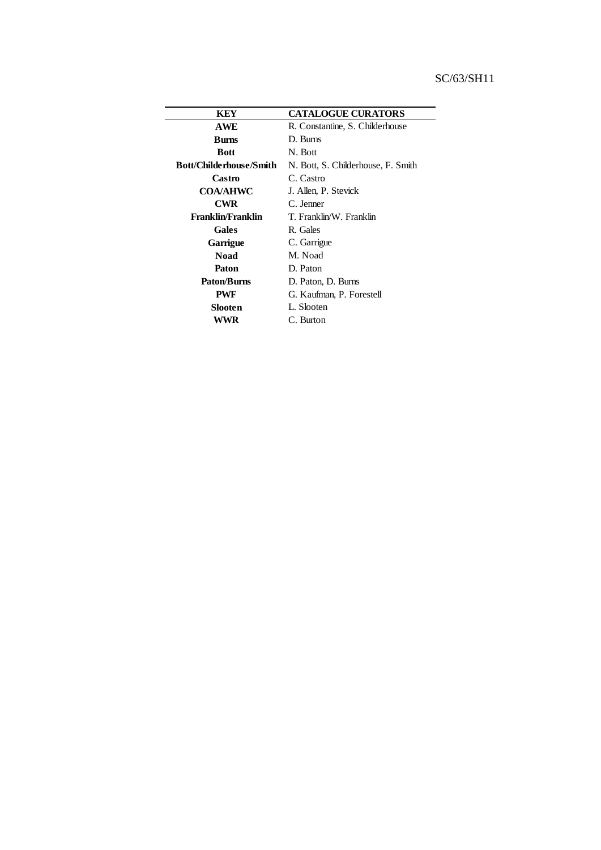| KEY                     | <b>CATALOGUE CURATORS</b>          |  |  |
|-------------------------|------------------------------------|--|--|
| <b>AWE</b>              | R. Constantine, S. Childerhouse    |  |  |
| <b>Burns</b>            | D. Burns                           |  |  |
| <b>Bott</b>             | N. Bott                            |  |  |
| Bott/Childerhouse/Smith | N. Bott, S. Childerhouse, F. Smith |  |  |
| Castro                  | C. Castro                          |  |  |
| <b>COA/AHWC</b>         | J. Allen, P. Stevick               |  |  |
| <b>CWR</b>              | C. Jenner                          |  |  |
| Franklin/Franklin       | T. Franklin/W. Franklin            |  |  |
| Gales                   | R. Gales                           |  |  |
| Garrigue                | C. Garrigue                        |  |  |
| <b>Noad</b>             | M. Noad                            |  |  |
| Paton                   | D. Paton                           |  |  |
| <b>Paton/Burns</b>      | D. Paton, D. Burns                 |  |  |
| <b>PWF</b>              | G. Kaufman, P. Forestell           |  |  |
| Slooten                 | L. Slooten                         |  |  |
| WWR                     | C. Burton                          |  |  |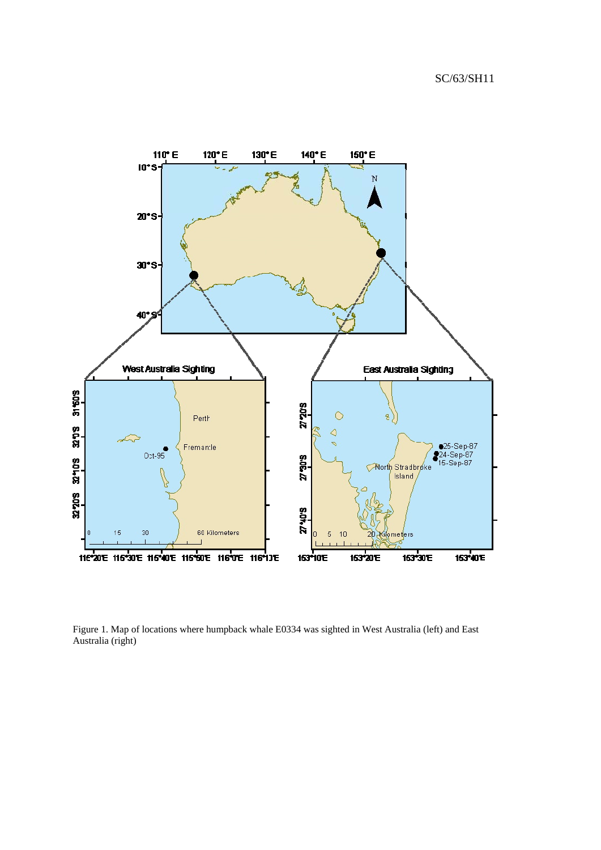

Figure 1. Map of locations where humpback whale E0334 was sighted in West Australia (left) and East Australia (right)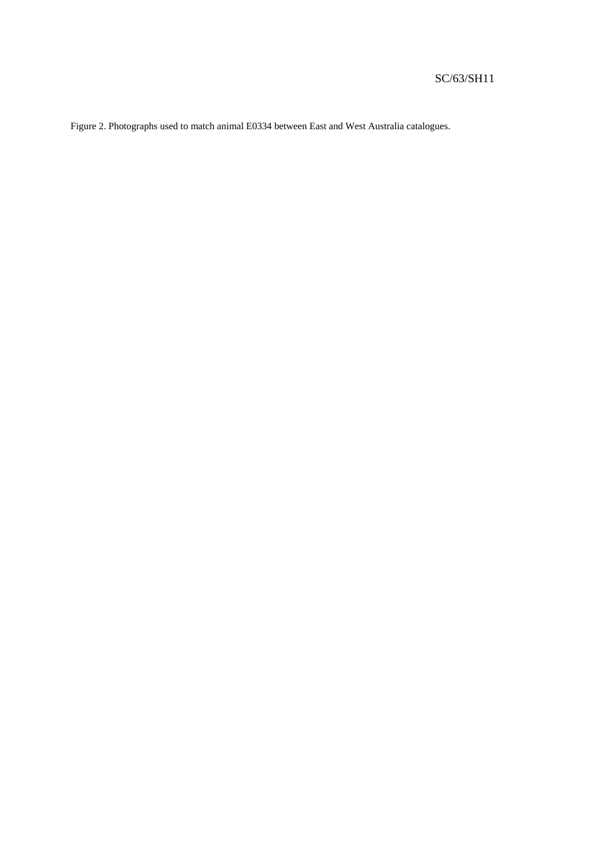Figure 2. Photographs used to match animal E0334 between East and West Australia catalogues.